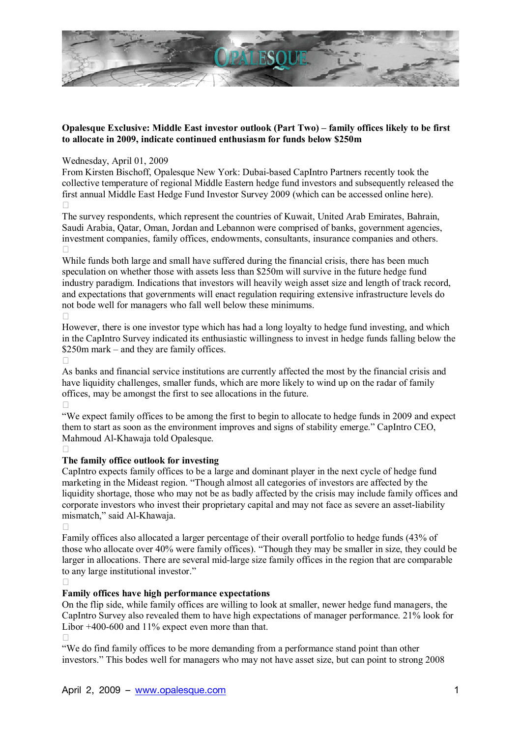

## **Opalesque Exclusive: Middle East investor outlook (Part Two) – family offices likely to be first to allocate in 2009, indicate continued enthusiasm for funds below \$250m**

## Wednesday, April 01, 2009

From Kirsten Bischoff, Opalesque New York: Dubai-based CapIntro Partners recently took the collective temperature of regional Middle Eastern hedge fund investors and subsequently released the first annual Middle East Hedge Fund Investor Survey 2009 (which can be accessed online here).

The survey respondents, which represent the countries of Kuwait, United Arab Emirates, Bahrain, Saudi Arabia, Qatar, Oman, Jordan and Lebannon were comprised of banks, government agencies, investment companies, family offices, endowments, consultants, insurance companies and others.

While funds both large and small have suffered during the financial crisis, there has been much speculation on whether those with assets less than \$250m will survive in the future hedge fund industry paradigm. Indications that investors will heavily weigh asset size and length of track record, and expectations that governments will enact regulation requiring extensive infrastructure levels do not bode well for managers who fall well below these minimums.

However, there is one investor type which has had a long loyalty to hedge fund investing, and which in the CapIntro Survey indicated its enthusiastic willingness to invest in hedge funds falling below the  $$250m$  mark – and they are family offices.

As banks and financial service institutions are currently affected the most by the financial crisis and have liquidity challenges, smaller funds, which are more likely to wind up on the radar of family offices, may be amongst the first to see allocations in the future.

ìWe expect family offices to be among the first to begin to allocate to hedge funds in 2009 and expect them to start as soon as the environment improves and signs of stability emerge." CapIntro CEO, Mahmoud Al-Khawaja told Opalesque.

## **The family office outlook for investing**

CapIntro expects family offices to be a large and dominant player in the next cycle of hedge fund marketing in the Mideast region. "Though almost all categories of investors are affected by the liquidity shortage, those who may not be as badly affected by the crisis may include family offices and corporate investors who invest their proprietary capital and may not face as severe an asset-liability mismatch," said Al-Khawaja.

Family offices also allocated a larger percentage of their overall portfolio to hedge funds (43% of those who allocate over 40% were family offices). "Though they may be smaller in size, they could be larger in allocations. There are several mid-large size family offices in the region that are comparable to any large institutional investor."

## **Family offices have high performance expectations**

On the flip side, while family offices are willing to look at smaller, newer hedge fund managers, the CapIntro Survey also revealed them to have high expectations of manager performance. 21% look for Libor +400-600 and 11% expect even more than that.

ìWe do find family offices to be more demanding from a performance stand point than other investors." This bodes well for managers who may not have asset size, but can point to strong 2008